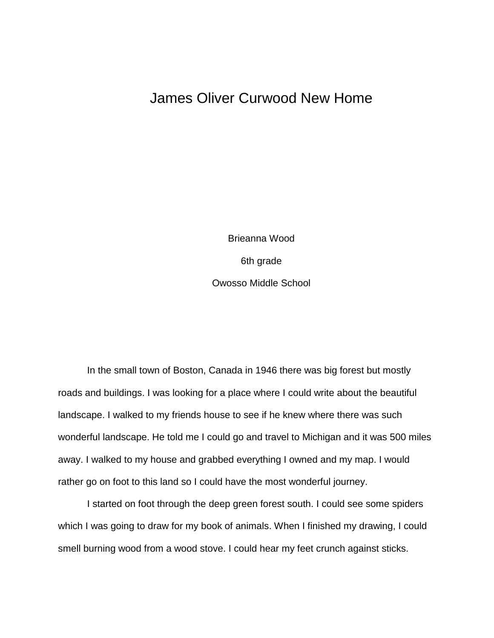## James Oliver Curwood New Home

Brieanna Wood 6th grade Owosso Middle School

In the small town of Boston, Canada in 1946 there was big forest but mostly roads and buildings. I was looking for a place where I could write about the beautiful landscape. I walked to my friends house to see if he knew where there was such wonderful landscape. He told me I could go and travel to Michigan and it was 500 miles away. I walked to my house and grabbed everything I owned and my map. I would rather go on foot to this land so I could have the most wonderful journey.

I started on foot through the deep green forest south. I could see some spiders which I was going to draw for my book of animals. When I finished my drawing, I could smell burning wood from a wood stove. I could hear my feet crunch against sticks.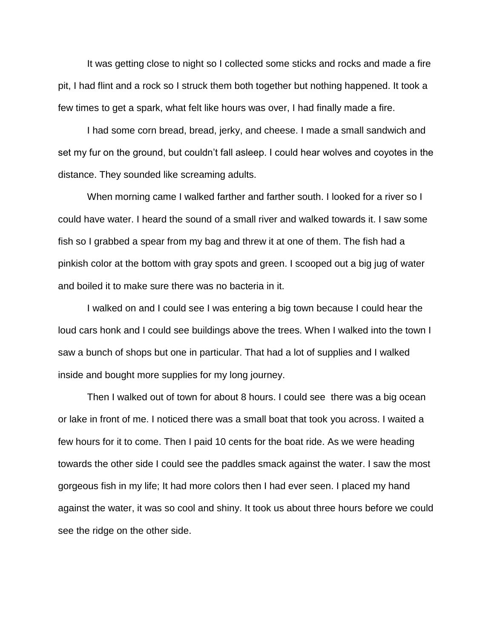It was getting close to night so I collected some sticks and rocks and made a fire pit, I had flint and a rock so I struck them both together but nothing happened. It took a few times to get a spark, what felt like hours was over, I had finally made a fire.

I had some corn bread, bread, jerky, and cheese. I made a small sandwich and set my fur on the ground, but couldn't fall asleep. I could hear wolves and coyotes in the distance. They sounded like screaming adults.

When morning came I walked farther and farther south. I looked for a river so I could have water. I heard the sound of a small river and walked towards it. I saw some fish so I grabbed a spear from my bag and threw it at one of them. The fish had a pinkish color at the bottom with gray spots and green. I scooped out a big jug of water and boiled it to make sure there was no bacteria in it.

I walked on and I could see I was entering a big town because I could hear the loud cars honk and I could see buildings above the trees. When I walked into the town I saw a bunch of shops but one in particular. That had a lot of supplies and I walked inside and bought more supplies for my long journey.

Then I walked out of town for about 8 hours. I could see there was a big ocean or lake in front of me. I noticed there was a small boat that took you across. I waited a few hours for it to come. Then I paid 10 cents for the boat ride. As we were heading towards the other side I could see the paddles smack against the water. I saw the most gorgeous fish in my life; It had more colors then I had ever seen. I placed my hand against the water, it was so cool and shiny. It took us about three hours before we could see the ridge on the other side.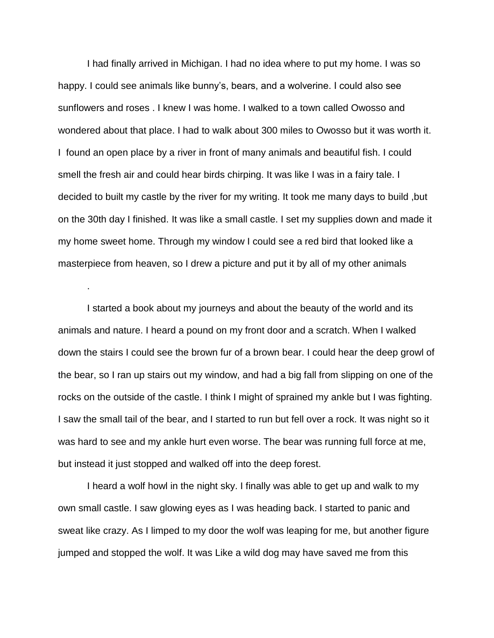I had finally arrived in Michigan. I had no idea where to put my home. I was so happy. I could see animals like bunny's, bears, and a wolverine. I could also see sunflowers and roses . I knew I was home. I walked to a town called Owosso and wondered about that place. I had to walk about 300 miles to Owosso but it was worth it. I found an open place by a river in front of many animals and beautiful fish. I could smell the fresh air and could hear birds chirping. It was like I was in a fairy tale. I decided to built my castle by the river for my writing. It took me many days to build ,but on the 30th day I finished. It was like a small castle. I set my supplies down and made it my home sweet home. Through my window I could see a red bird that looked like a masterpiece from heaven, so I drew a picture and put it by all of my other animals

I started a book about my journeys and about the beauty of the world and its animals and nature. I heard a pound on my front door and a scratch. When I walked down the stairs I could see the brown fur of a brown bear. I could hear the deep growl of the bear, so I ran up stairs out my window, and had a big fall from slipping on one of the rocks on the outside of the castle. I think I might of sprained my ankle but I was fighting. I saw the small tail of the bear, and I started to run but fell over a rock. It was night so it was hard to see and my ankle hurt even worse. The bear was running full force at me, but instead it just stopped and walked off into the deep forest.

.

I heard a wolf howl in the night sky. I finally was able to get up and walk to my own small castle. I saw glowing eyes as I was heading back. I started to panic and sweat like crazy. As I limped to my door the wolf was leaping for me, but another figure jumped and stopped the wolf. It was Like a wild dog may have saved me from this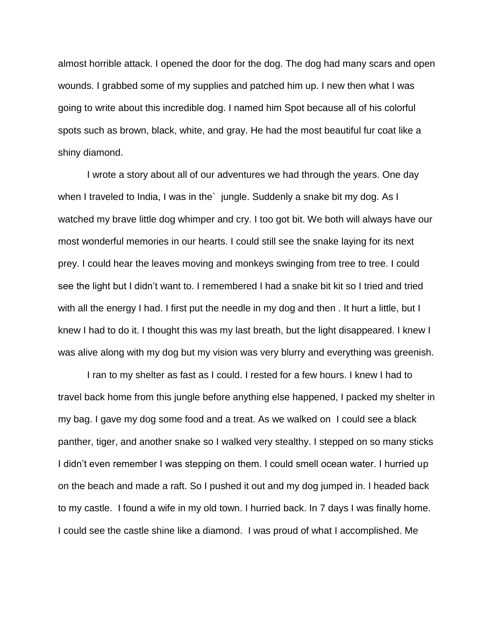almost horrible attack. I opened the door for the dog. The dog had many scars and open wounds. I grabbed some of my supplies and patched him up. I new then what I was going to write about this incredible dog. I named him Spot because all of his colorful spots such as brown, black, white, and gray. He had the most beautiful fur coat like a shiny diamond.

I wrote a story about all of our adventures we had through the years. One day when I traveled to India, I was in the` jungle. Suddenly a snake bit my dog. As I watched my brave little dog whimper and cry. I too got bit. We both will always have our most wonderful memories in our hearts. I could still see the snake laying for its next prey. I could hear the leaves moving and monkeys swinging from tree to tree. I could see the light but I didn't want to. I remembered I had a snake bit kit so I tried and tried with all the energy I had. I first put the needle in my dog and then . It hurt a little, but I knew I had to do it. I thought this was my last breath, but the light disappeared. I knew I was alive along with my dog but my vision was very blurry and everything was greenish.

I ran to my shelter as fast as I could. I rested for a few hours. I knew I had to travel back home from this jungle before anything else happened, I packed my shelter in my bag. I gave my dog some food and a treat. As we walked on I could see a black panther, tiger, and another snake so I walked very stealthy. I stepped on so many sticks I didn't even remember I was stepping on them. I could smell ocean water. I hurried up on the beach and made a raft. So I pushed it out and my dog jumped in. I headed back to my castle. I found a wife in my old town. I hurried back. In 7 days I was finally home. I could see the castle shine like a diamond. I was proud of what I accomplished. Me